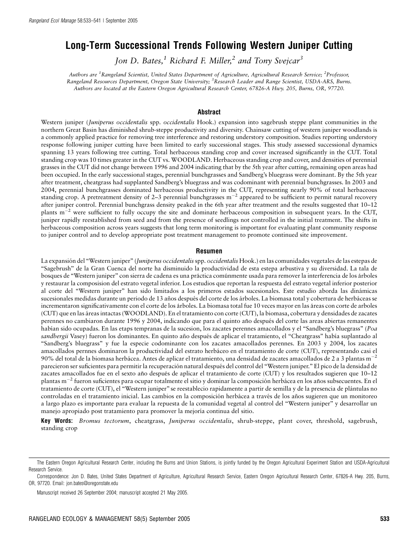# Long-Term Successional Trends Following Western Juniper Cutting

Jon D. Bates,<sup>1</sup> Richard F. Miller,<sup>2</sup> and Tony Svejcar<sup>3</sup>

Authors are <sup>1</sup>Rangeland Scientist, United States Department of Agriculture, Agricultural Research Service; <sup>2</sup>Professor, Rangeland Resources Department, Oregon State University; <sup>3</sup> Research Leader and Range Scientist, USDA-ARS, Burns. Authors are located at the Eastern Oregon Agricultural Research Center, 67826-A Hwy. 205, Burns, OR, 97720.

## Abstract

Western juniper (Juniperus occidentalis spp. occidentalis Hook.) expansion into sagebrush steppe plant communities in the northern Great Basin has diminished shrub-steppe productivity and diversity. Chainsaw cutting of western juniper woodlands is a commonly applied practice for removing tree interference and restoring understory composition. Studies reporting understory response following juniper cutting have been limited to early successional stages. This study assessed successional dynamics spanning 13 years following tree cutting. Total herbaceous standing crop and cover increased significantly in the CUT. Total standing crop was 10 times greater in the CUT vs. WOODLAND. Herbaceous standing crop and cover, and densities of perennial grasses in the CUT did not change between 1996 and 2004 indicating that by the 5th year after cutting, remaining open areas had been occupied. In the early successional stages, perennial bunchgrasses and Sandberg's bluegrass were dominant. By the 5th year after treatment, cheatgrass had supplanted Sandberg's bluegrass and was codominant with perennial bunchgrasses. In 2003 and 2004, perennial bunchgrasses dominated herbaceous productivity in the CUT, representing nearly 90% of total herbaceous standing crop. A pretreatment density of 2–3 perennial bunchgrasses  $m^{-2}$  appeared to be sufficient to permit natural recovery after juniper control. Perennial bunchgrass density peaked in the 6th year after treatment and the results suggested that 10–12 plants  $m^{-2}$  were sufficient to fully occupy the site and dominate herbaceous composition in subsequent years. In the CUT, juniper rapidly reestablished from seed and from the presence of seedlings not controlled in the initial treatment. The shifts in herbaceous composition across years suggests that long term monitoring is important for evaluating plant community response to juniper control and to develop appropriate post treatment management to promote continued site improvement.

#### Resumen

La expansión del "Western juniper" (Juniperus occidentalis spp. occidentalis Hook.) en las comunidades vegetales de las estepas de ''Sagebrush'' de la Gran Cuenca del norte ha disminuido la productividad de esta estepa arbustiva y su diversidad. La tala de bosques de ''Western juniper'' con sierra de cadena es una pra´ctica comu´nmente usada para remover la interferencia de los a´rboles y restaurar la composision del estrato vegetal inferior. Los estudios que reportan la respuesta del estrato vegetal inferior posterior al corte del "Western juniper" han sido limitados a los primeros estados sucesionales. Este estudio aborda las dinámicas sucesionales medidas durante un periodo de 13 años después del corte de los árboles. La biomasa total y cobertura de herbáceas se incrementaron significativamente con el corte de los árboles. La biomasa total fue 10 veces mayor en las áreas con corte de arboles (CUT) que en las a´reas intactas (WOODLAND). En el tratamiento con corte (CUT), la biomasa, cobertura y densidades de zacates perennes no cambiaron durante 1996 y 2004, indicando que para el quinto año después del corte las areas abiertas remanentes habían sido ocupadas. En las etaps tempranas de la sucesion, los zacates perennes amacollados y el "Sandberg's bluegrass" (Poa sandbergii Vasey) fueron los dominantes. En quinto año después de aplicar el tratamiento, el "Cheatgrass" había suplantado al ''Sandberg's bluegrass'' y fue la especie codominante con los zacates amacollados perennes. En 2003 y 2004, los zacates amacollados pernnes dominaron la productividad del estrato herbáceo en el tratamiento de corte (CUT), representando casi el 90% del total de la biomasa herbácea. Antes de aplicar el tratamiento, una densidad de zacates amacollados de 2 a 3 plantas m<sup>-2</sup> parecieron ser suficientes para permitir la recuperación natural después del control del "Western juniper." El pico de la densidad de zacates amacollados fue en el sexto año después de aplicar el tratamiento de corte (CUT) y los resultados sugieren que 10–12 plantas m<sup>-2</sup> fueron suficientes para ocupar totalmente el sitio y dominar la composición herbácea en los años subsecuentes. En el tratamiento de corte (CUT), el ''Western juniper'' se reestablecio rapidamente a partir de semilla y de la presencia de pla´ntulas no controladas en el tratamiento inicial. Las cambios en la composición herbácea a través de los años sugieren que un monitoreo a largo plazo es importante para evaluar la repuesta de la comunidad vegetal al control del ''Western juniper'' y desarrollar un manejo apropiado post tratamiento para promover la mejoría continua del sitio.

Key Words: Bromus tectorum, cheatgrass, Juniperus occidentalis, shrub-steppe, plant cover, threshold, sagebrush, standing crop

The Eastern Oregon Agricultural Research Center, including the Burns and Union Stations, is jointly funded by the Oregon Agricultural Experiment Station and USDA-Agricultural Research Service.

Correspondence: Jon D. Bates, United States Department of Agriculture, Agricultural Research Service, Eastern Oregon Agricultural Research Center, 67826-A Hwy. 205, Burns, OR, 97720. Email: jon.bates@oregonstate.edu

Manuscript received 26 September 2004; manuscript accepted 21 May 2005.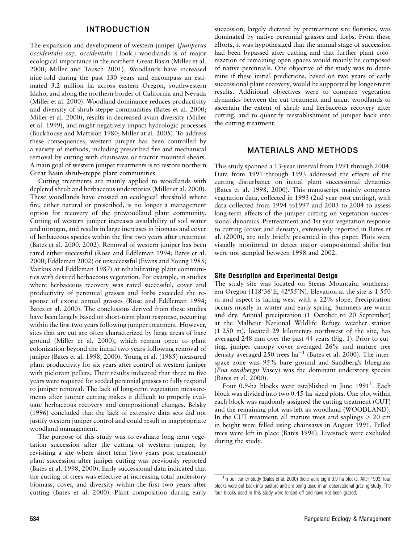## INTRODUCTION

The expansion and development of western juniper (Juniperus occidentalis ssp. occidentalis Hook.) woodlands is of major ecological importance in the northern Great Basin (Miller et al. 2000; Miller and Tausch 2001). Woodlands have increased nine-fold during the past 130 years and encompass an estimated 3.2 million ha across eastern Oregon, southwestern Idaho, and along the northern border of California and Nevada (Miller et al. 2000). Woodland dominance reduces productivity and diversity of shrub-steppe communities (Bates et al. 2000; Miller et al. 2000), results in decreased avian diversity (Miller et al. 1999), and might negatively impact hydrologic processes (Buckhouse and Mattison 1980; Miller at al. 2005). To address these consequences, western juniper has been controlled by a variety of methods, including prescribed fire and mechanical removal by cutting with chainsaws or tractor mounted shears. A main goal of western juniper treatments is to restore northern Great Basin shrub-steppe plant communities.

Cutting treatments are mainly applied to woodlands with depleted shrub and herbaceous understories (Miller et al. 2000). These woodlands have crossed an ecological threshold where fire, either natural or prescribed, is no longer a management option for recovery of the prewoodland plant community. Cutting of western juniper increases availability of soil water and nitrogen, and results in large increases in biomass and cover of herbaceous species within the first two years after treatment (Bates et al. 2000, 2002). Removal of western juniper has been rated either successful (Rose and Eddleman 1994; Bates et al. 2000; Eddleman 2002) or unsuccessful (Evans and Young 1985; Vaitkus and Eddleman 1987) at rehabilitating plant communities with desired herbaceous vegetation. For example, in studies where herbaceous recovery was rated successful, cover and productivity of perennial grasses and forbs exceeded the response of exotic annual grasses (Rose and Eddleman 1994; Bates et al. 2000). The conclusions derived from these studies have been largely based on short-term plant response, occurring within the first two years following juniper treatment. However, sites that are cut are often characterized by large areas of bare ground (Miller et al. 2000), which remain open to plant colonization beyond the initial two years following removal of juniper (Bates et al. 1998, 2000). Young et al. (1985) measured plant productivity for six years after control of western juniper with picloram pellets. Their results indicated that three to five years were required for seeded perennial grasses to fully respond to juniper removal. The lack of long-term vegetation measurements after juniper cutting makes it difficult to properly evaluate herbaceous recovery and compositional changes. Belsky (1996) concluded that the lack of extensive data sets did not justify western juniper control and could result in inappropriate woodland management.

The purpose of this study was to evaluate long-term vegetation succession after the cutting of western juniper, by revisiting a site where short term (two years post treatment) plant succession after juniper cutting was previously reported (Bates et al. 1998, 2000). Early successional data indicated that the cutting of trees was effective at increasing total understory biomass, cover, and diversity within the first two years after cutting (Bates et al. 2000). Plant composition during early

succession, largely dictated by pretreatment site floristics, was dominated by native perennial grasses and forbs. From these efforts, it was hypothesized that the annual stage of succession had been bypassed after cutting and that further plant colonization of remaining open spaces would mainly be composed of native perennials. One objective of the study was to determine if these initial predictions, based on two years of early successional plant recovery, would be supported by longer-term results. Additional objectives were to compare vegetation dynamics between the cut treatment and uncut woodlands to ascertain the extent of shrub and herbaceous recovery after cutting, and to quantify reestablishment of juniper back into the cutting treatment.

## MATERIALS AND METHODS

This study spanned a 13-year interval from 1991 through 2004. Data from 1991 through 1993 addressed the effects of the cutting disturbance on initial plant successional dynamics (Bates et al. 1998, 2000). This manuscript mainly compares vegetation data, collected in 1993 (2nd year post cutting), with data collected from 1994 to1997 and 2003 to 2004 to assess long-term effects of the juniper cutting on vegetation successional dynamics. Pretreatment and 1st year vegetation response to cutting (cover and density), extensively reported in Bates et al. (2000), are only briefly presented in this paper. Plots were visually monitored to detect major compositional shifts but were not sampled between 1998 and 2002.

## Site Description and Experimental Design

The study site was located on Steens Mountain, southeastern Oregon (118°36'E, 42°55'N). Elevation at the site is 1 550 m and aspect is facing west with a 22% slope. Precipitation occurs mostly in winter and early spring. Summers are warm and dry. Annual precipitation (1 October to 20 September) at the Malheur National Wildlife Refuge weather station (1 250 m), located 29 kilometers northwest of the site, has averaged 248 mm over the past 44 years (Fig. 1). Prior to cutting, juniper canopy cover averaged 26% and mature tree density averaged  $250$  trees ha<sup>-1</sup> (Bates et al. 2000). The interspace zone was 95% bare ground and Sandberg's bluegrass (Poa sandbergii Vasey) was the dominant understory species (Bates et al. 2000).

Four 0.9-ha blocks were established in June 1991<sup>1</sup>. Each block was divided into two 0.45-ha-sized plots. One plot within each block was randomly assigned the cutting treatment (CUT) and the remaining plot was left as woodland (WOODLAND). In the CUT treatment, all mature trees and saplings  $> 20$  cm in height were felled using chainsaws in August 1991. Felled trees were left in place (Bates 1996). Livestock were excluded during the study.

<sup>&</sup>lt;sup>1</sup>In our earlier study (Bates et al. 2000) there were eight 0.9 ha blocks. After 1993, four blocks were put back into pasture and are being used in an observational grazing study. The four blocks used in this study were fenced off and have not been grazed.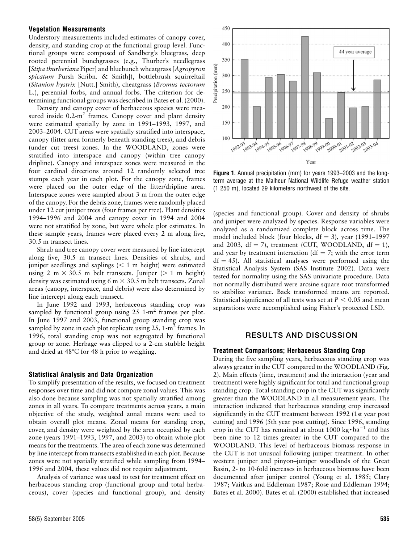# Vegetation Measurements

Understory measurements included estimates of canopy cover, density, and standing crop at the functional group level. Functional groups were composed of Sandberg's bluegrass, deep rooted perennial bunchgrasses (e.g., Thurber's needlegrass [Stipa thurberiana Piper] and bluebunch wheatgrass [Agropyron spicatum Pursh Scribn. & Smith]), bottlebrush squirreltail (Sitanion hystrix [Nutt.] Smith), cheatgrass (Bromus tectorum L.), perennial forbs, and annual forbs. The criterion for determining functional groups was described in Bates et al. (2000).

Density and canopy cover of herbaceous species were measured inside  $0.2 \text{--} \text{m}^2$  frames. Canopy cover and plant density were estimated spatially by zone in 1991–1993, 1997, and 2003–2004. CUT areas were spatially stratified into interspace, canopy (litter area formerly beneath standing trees), and debris (under cut trees) zones. In the WOODLAND, zones were stratified into interspace and canopy (within tree canopy dripline). Canopy and interspace zones were measured in the four cardinal directions around 12 randomly selected tree stumps each year in each plot. For the canopy zone, frames were placed on the outer edge of the litter/dripline area. Interspace zones were sampled about 3 m from the outer edge of the canopy. For the debris zone, frames were randomly placed under 12 cut juniper trees (four frames per tree). Plant densities 1994–1996 and 2004 and canopy cover in 1994 and 2004 were not stratified by zone, but were whole plot estimates. In these sample years, frames were placed every 2 m along five, 30.5 m transect lines.

Shrub and tree canopy cover were measured by line intercept along five, 30.5 m transect lines. Densities of shrubs, and juniper seedlings and saplings  $\left($  < 1 m height) were estimated using 2 m  $\times$  30.5 m belt transects. Juniper ( $> 1$  m height) density was estimated using 6 m  $\times$  30.5 m belt transects. Zonal areas (canopy, interspace, and debris) were also determined by line intercept along each transect.

In June 1992 and 1993, herbaceous standing crop was sampled by functional group using  $25 \text{ 1-m}^2$  frames per plot. In June 1997 and 2003, functional group standing crop was sampled by zone in each plot replicate using  $25$ ,  $1-m^2$  frames. In 1996, total standing crop was not segregated by functional group or zone. Herbage was clipped to a 2-cm stubble height and dried at  $48^{\circ}$ C for 48 h prior to weighing.

#### Statistical Analysis and Data Organization

To simplify presentation of the results, we focused on treatment responses over time and did not compare zonal values. This was also done because sampling was not spatially stratified among zones in all years. To compare treatments across years, a main objective of the study, weighted zonal means were used to obtain overall plot means. Zonal means for standing crop, cover, and density were weighted by the area occupied by each zone (years 1991–1993, 1997, and 2003) to obtain whole plot means for the treatments. The area of each zone was determined by line intercept from transects established in each plot. Because zones were not spatially stratified while sampling from 1994– 1996 and 2004, these values did not require adjustment.

Analysis of variance was used to test for treatment effect on herbaceous standing crop (functional group and total herbaceous), cover (species and functional group), and density



Figure 1. Annual precipitation (mm) for years 1993–2003 and the longterm average at the Malheur National Wildlife Refuge weather station (1 250 m), located 29 kilometers northwest of the site.

(species and functional group). Cover and density of shrubs and juniper were analyzed by species. Response variables were analyzed as a randomized complete block across time. The model included block (four blocks,  $df = 3$ ), year (1991–1997 and 2003,  $df = 7$ ), treatment (CUT, WOODLAND,  $df = 1$ ), and year by treatment interaction ( $df = 7$ ; with the error term  $df = 45$ ). All statistical analyses were performed using the Statistical Analysis System (SAS Institute 2002). Data were tested for normality using the SAS univariate procedure. Data not normally distributed were arcsine square root transformed to stabilize variance. Back transformed means are reported. Statistical significance of all tests was set at  $P < 0.05$  and mean separations were accomplished using Fisher's protected LSD.

## RESULTS AND DISCUSSION

#### Treatment Comparisons; Herbaceous Standing Crop

During the five sampling years, herbaceous standing crop was always greater in the CUT compared to the WOODLAND (Fig. 2). Main effects (time, treatment) and the interaction (year and treatment) were highly significant for total and functional group standing crop. Total standing crop in the CUT was significantly greater than the WOODLAND in all measurement years. The interaction indicated that herbaceous standing crop increased significantly in the CUT treatment between 1992 (1st year post cutting) and 1996 (5th year post cutting). Since 1996, standing crop in the CUT has remained at about 1000 kg $\cdot$  ha<sup>-1</sup> and has been nine to 12 times greater in the CUT compared to the WOODLAND. This level of herbaceous biomass response in the CUT is not unusual following juniper treatment. In other western juniper and pinyon–juniper woodlands of the Great Basin, 2- to 10-fold increases in herbaceous biomass have been documented after juniper control (Young et al. 1985; Clary 1987; Vaitkus and Eddleman 1987; Rose and Eddleman 1994; Bates et al. 2000). Bates et al. (2000) established that increased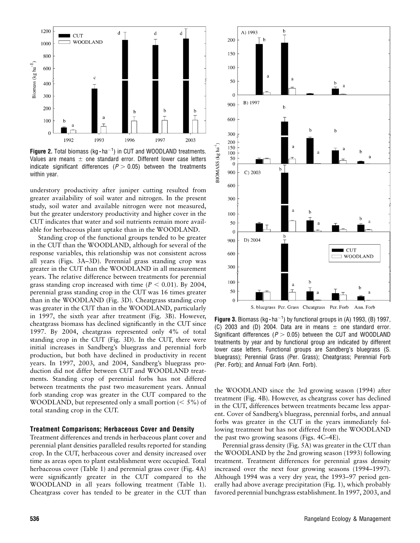

Figure 2. Total biomass ( $kg \cdot ha^{-1}$ ) in CUT and WOODLAND treatments. Values are means  $\pm$  one standard error. Different lower case letters indicate significant differences ( $P > 0.05$ ) between the treatments within year.

understory productivity after juniper cutting resulted from greater availability of soil water and nitrogen. In the present study, soil water and available nitrogen were not measured, but the greater understory productivity and higher cover in the CUT indicates that water and soil nutrients remain more available for herbaceous plant uptake than in the WOODLAND.

Standing crop of the functional groups tended to be greater in the CUT than the WOODLAND, although for several of the response variables, this relationship was not consistent across all years (Figs. 3A–3D). Perennial grass standing crop was greater in the CUT than the WOODLAND in all measurement years. The relative difference between treatments for perennial grass standing crop increased with time ( $P < 0.01$ ). By 2004, perennial grass standing crop in the CUT was 16 times greater than in the WOODLAND (Fig. 3D). Cheatgrass standing crop was greater in the CUT than in the WOODLAND, particularly in 1997, the sixth year after treatment (Fig. 3B). However, cheatgrass biomass has declined significantly in the CUT since 1997. By 2004, cheatgrass represented only 4% of total standing crop in the CUT (Fig. 3D). In the CUT, there were initial increases in Sandberg's bluegrass and perennial forb production, but both have declined in productivity in recent years. In 1997, 2003, and 2004, Sandberg's bluegrass production did not differ between CUT and WOODLAND treatments. Standing crop of perennial forbs has not differed between treatments the past two measurement years. Annual forb standing crop was greater in the CUT compared to the WOODLAND, but represented only a small portion  $(< 5\%$ ) of total standing crop in the CUT.

## Treatment Comparisons; Herbaceous Cover and Density

Treatment differences and trends in herbaceous plant cover and perennial plant densities paralleled results reported for standing crop. In the CUT, herbaceous cover and density increased over time as areas open to plant establishment were occupied. Total herbaceous cover (Table 1) and perennial grass cover (Fig. 4A) were significantly greater in the CUT compared to the WOODLAND in all years following treatment (Table 1). Cheatgrass cover has tended to be greater in the CUT than



Figure 3. Biomass (kg $\cdot$ ha<sup>-1</sup>) by functional groups in (A) 1993, (B) 1997, (C) 2003 and (D) 2004. Data are in means  $\pm$  one standard error. Significant differences ( $P > 0.05$ ) between the CUT and WOODLAND treatments by year and by functional group are indicated by different lower case letters. Functional groups are Sandberg's bluegrass (S. bluegrass); Perennial Grass (Per. Grass); Cheatgrass; Perennial Forb (Per. Forb); and Annual Forb (Ann. Forb).

the WOODLAND since the 3rd growing season (1994) after treatment (Fig. 4B). However, as cheatgrass cover has declined in the CUT, differences between treatments became less apparent. Cover of Sandberg's bluegrass, perennial forbs, and annual forbs was greater in the CUT in the years immediately following treatment but has not differed from the WOODLAND the past two growing seasons (Figs. 4C–4E).

Perennial grass density (Fig. 5A) was greater in the CUT than the WOODLAND by the 2nd growing season (1993) following treatment. Treatment differences for perennial grass density increased over the next four growing seasons (1994–1997). Although 1994 was a very dry year, the 1993–97 period generally had above average precipitation (Fig. 1), which probably favored perennial bunchgrass establishment. In 1997, 2003, and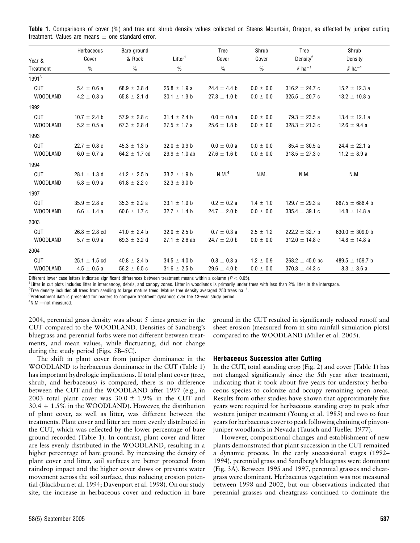|                   | Herbaceous        | Bare ground       |                     | Tree              | Shrub           | <b>Tree</b>          | Shrub                |
|-------------------|-------------------|-------------------|---------------------|-------------------|-----------------|----------------------|----------------------|
| Year &            | Cover             | & Rock            | Litter <sup>1</sup> | Cover             | Cover           | Density <sup>2</sup> | Density              |
| Treatment         | $\frac{0}{0}$     | $\frac{0}{0}$     | $\frac{0}{0}$       | $\frac{0}{0}$     | $\frac{0}{0}$   | $#$ ha <sup>-1</sup> | $#$ ha <sup>-1</sup> |
| 1991 <sup>3</sup> |                   |                   |                     |                   |                 |                      |                      |
| <b>CUT</b>        | $5.4 \pm 0.6 a$   | 68.9 $\pm$ 3.8 d  | $25.8 \pm 1.9 a$    | $24.4 \pm 4.4$ b  | $0.0 \pm 0.0$   | 316.2 $\pm$ 24.7 c   | $15.2 \pm 12.3$ a    |
| <b>WOODLAND</b>   | $4.2 \pm 0.8$ a   | 65.8 $\pm$ 2.1 d  | $30.1 \pm 1.3$ b    | $27.3 \pm 1.0$ b  | $0.0 \pm 0.0$   | $325.5 \pm 20.7$ c   | $13.2 \pm 10.8$ a    |
| 1992              |                   |                   |                     |                   |                 |                      |                      |
| <b>CUT</b>        | $10.7 \pm 2.4$ b  | $57.9 \pm 2.8$ c  | $31.4 \pm 2.4$ b    | $0.0 \pm 0.0 a$   | $0.0 \pm 0.0$   | $79.3 \pm 23.5$ a    | $13.4 \pm 12.1$ a    |
| <b>WOODLAND</b>   | $5.2 \pm 0.5$ a   | 67.3 $\pm$ 2.8 d  | $27.5 \pm 1.7$ a    | $25.6 \pm 1.8$ b  | $0.0 \pm 0.0$   | 328.3 $\pm$ 21.3 c   | $12.6 \pm 9.4 a$     |
| 1993              |                   |                   |                     |                   |                 |                      |                      |
| <b>CUT</b>        | $22.7 \pm 0.8$ c  | $45.3 \pm 1.3$ b  | $32.0 \pm 0.9$ b    | $0.0 \pm 0.0 a$   | $0.0 \pm 0.0$   | $85.4 \pm 30.5$ a    | $24.4 \pm 22.1$ a    |
| <b>WOODLAND</b>   | $6.0 \pm 0.7 a$   | 64.2 $\pm$ 1.7 cd | $29.9 \pm 1.0$ ab   | $27.6 \pm 1.6$ b  | $0.0 \pm 0.0$   | 318.5 $\pm$ 27.3 c   | 11.2 $\pm$ 8.9 a     |
| 1994              |                   |                   |                     |                   |                 |                      |                      |
| <b>CUT</b>        | $28.1 \pm 1.3$ d  | $41.2 \pm 2.5$ b  | $33.2 \pm 1.9$ b    | N.M. <sup>4</sup> | N.M.            | N.M.                 | N.M.                 |
| <b>WOODLAND</b>   | $5.8 \pm 0.9 a$   | 61.8 $\pm$ 2.2 c  | $32.3 \pm 3.0$ b    |                   |                 |                      |                      |
| 1997              |                   |                   |                     |                   |                 |                      |                      |
| <b>CUT</b>        | $35.9 \pm 2.8 e$  | $35.3 \pm 2.2 a$  | $33.1 \pm 1.9$ b    | $0.2 \pm 0.2 a$   | $1.4 \pm 1.0$   | 129.7 $\pm$ 29.3 a   | $887.5 \pm 686.4$ b  |
| <b>WOODLAND</b>   | $6.6 \pm 1.4 a$   | 60.6 $\pm$ 1.7 c  | $32.7 \pm 1.4$ b    | $24.7 \pm 2.0$ b  | $0.0 \pm 0.0$   | $335.4 \pm 39.1$ c   | $14.8 \pm 14.8$ a    |
| 2003              |                   |                   |                     |                   |                 |                      |                      |
| <b>CUT</b>        | $26.8 \pm 2.8$ cd | 41.0 $\pm$ 2.4 b  | $32.0 \pm 2.5$ b    | $0.7 \pm 0.3$ a   | $2.5 \pm 1.2$   | $222.2 \pm 32.7$ b   | 630.0 $\pm$ 309.0 b  |
| <b>WOODLAND</b>   | $5.7 \pm 0.9 a$   | 69.3 $\pm$ 3.2 d  | $27.1 \pm 2.6$ ab   | $24.7 \pm 2.0$ b  | $0.0\,\pm\,0.0$ | 312.0 $\pm$ 14.8 c   | $14.8 \pm 14.8$ a    |
| 2004              |                   |                   |                     |                   |                 |                      |                      |
| <b>CUT</b>        | $25.1 \pm 1.5$ cd | $40.8 \pm 2.4$ b  | $34.5 \pm 4.0$ b    | $0.8 \pm 0.3 a$   | $1.2 \pm 0.9$   | $268.2 \pm 45.0$ bc  | 489.5 $\pm$ 159.7 b  |
| <b>WOODLAND</b>   | $4.5 \pm 0.5$ a   | 56.2 $\pm$ 6.5 c  | $31.6 \pm 2.5$ b    | $29.6 \pm 4.0$ b  | $0.0 \pm 0.0$   | $370.3 \pm 44.3$ c   | $8.3 \pm 3.6 a$      |

Table 1. Comparisons of cover (%) and tree and shrub density values collected on Steens Mountain, Oregon, as affected by juniper cutting treatment. Values are means  $\pm$  one standard error.

Different lower case letters indicates significant differences between treatment means within a column ( $P < 0.05$ ).

<sup>1</sup>Litter in cut plots includes litter in intercanopy, debris, and canopy zones. Litter in woodlands is primarily under trees with less than 2% litter in the interspace.

 $^2$ Tree density includes all trees from seedling to large mature trees. Mature tree density averaged 250 trees ha $^{-1}\,$ 

<sup>3</sup>Pretreatment data is presented for readers to compare treatment dynamics over the 13-year study period.

4 N.M.—not measured.

2004, perennial grass density was about 5 times greater in the CUT compared to the WOODLAND. Densities of Sandberg's bluegrass and perennial forbs were not different between treatments, and mean values, while fluctuating, did not change during the study period (Figs. 5B–5C).

The shift in plant cover from juniper dominance in the WOODLAND to herbaceous dominance in the CUT (Table 1) has important hydrologic implications. If total plant cover (tree, shrub, and herbaceous) is compared, there is no difference between the CUT and the WOODLAND after 1997 (e.g., in 2003 total plant cover was  $30.0 \pm 1.9\%$  in the CUT and  $30.4 + 1.5\%$  in the WOODLAND). However, the distribution of plant cover, as well as litter, was different between the treatments. Plant cover and litter are more evenly distributed in the CUT, which was reflected by the lower percentage of bare ground recorded (Table 1). In contrast, plant cover and litter are less evenly distributed in the WOODLAND, resulting in a higher percentage of bare ground. By increasing the density of plant cover and litter, soil surfaces are better protected from raindrop impact and the higher cover slows or prevents water movement across the soil surface, thus reducing erosion potential (Blackburn et al. 1994; Davenport et al. 1998). On our study site, the increase in herbaceous cover and reduction in bare

ground in the CUT resulted in significantly reduced runoff and sheet erosion (measured from in situ rainfall simulation plots) compared to the WOODLAND (Miller et al. 2005).

## Herbaceous Succession after Cutting

In the CUT, total standing crop (Fig. 2) and cover (Table 1) has not changed significantly since the 5th year after treatment, indicating that it took about five years for understory herbaceous species to colonize and occupy remaining open areas. Results from other studies have shown that approximately five years were required for herbaceous standing crop to peak after western juniper treatment (Young et al. 1985) and two to four years for herbaceous cover to peak following chaining of pinyonjuniper woodlands in Nevada (Tausch and Tueller 1977).

However, compositional changes and establishment of new plants demonstrated that plant succession in the CUT remained a dynamic process. In the early successional stages (1992– 1994), perennial grass and Sandberg's bluegrass were dominant (Fig. 3A). Between 1995 and 1997, perennial grasses and cheatgrass were dominant. Herbaceous vegetation was not measured between 1998 and 2002, but our observations indicated that perennial grasses and cheatgrass continued to dominate the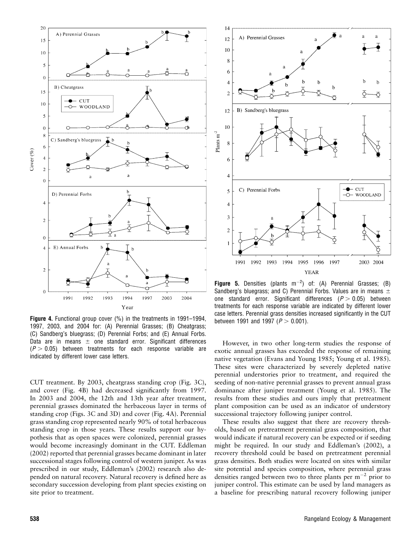

Figure 4. Functional group cover (%) in the treatments in 1991–1994, 1997, 2003, and 2004 for: (A) Perennial Grasses; (B) Cheatgrass; (C) Sandberg's bluegrass; (D) Perennial Forbs; and (E) Annual Forbs. Data are in means  $\pm$  one standard error. Significant differences  $(P > 0.05)$  between treatments for each response variable are indicated by different lower case letters.

CUT treatment. By 2003, cheatgrass standing crop (Fig. 3C), and cover (Fig. 4B) had decreased significantly from 1997. In 2003 and 2004, the 12th and 13th year after treatment, perennial grasses dominated the herbaceous layer in terms of standing crop (Figs. 3C and 3D) and cover (Fig. 4A). Perennial grass standing crop represented nearly 90% of total herbaceous standing crop in those years. These results support our hypothesis that as open spaces were colonized, perennial grasses would become increasingly dominant in the CUT. Eddleman (2002) reported that perennial grasses became dominant in later successional stages following control of western juniper. As was prescribed in our study, Eddleman's (2002) research also depended on natural recovery. Natural recovery is defined here as secondary succession developing from plant species existing on site prior to treatment.



**Figure 5.** Densities (plants  $m^{-2}$ ) of: (A) Perennial Grasses; (B) Sandberg's bluegrass; and C) Perennial Forbs. Values are in means  $\pm$ one standard error. Significant differences  $(P > 0.05)$  between treatments for each response variable are indicated by different lower case letters. Perennial grass densities increased significantly in the CUT between 1991 and 1997 ( $P > 0.001$ ).

However, in two other long-term studies the response of exotic annual grasses has exceeded the response of remaining native vegetation (Evans and Young 1985; Young et al. 1985). These sites were characterized by severely depleted native perennial understories prior to treatment, and required the seeding of non-native perennial grasses to prevent annual grass dominance after juniper treatment (Young et al. 1985). The results from these studies and ours imply that pretreatment plant composition can be used as an indicator of understory successional trajectory following juniper control.

These results also suggest that there are recovery thresholds, based on pretreatment perennial grass composition, that would indicate if natural recovery can be expected or if seeding might be required. In our study and Eddleman's (2002), a recovery threshold could be based on pretreatment perennial grass densities. Both studies were located on sites with similar site potential and species composition, where perennial grass densities ranged between two to three plants per  $m^{-2}$  prior to juniper control. This estimate can be used by land managers as a baseline for prescribing natural recovery following juniper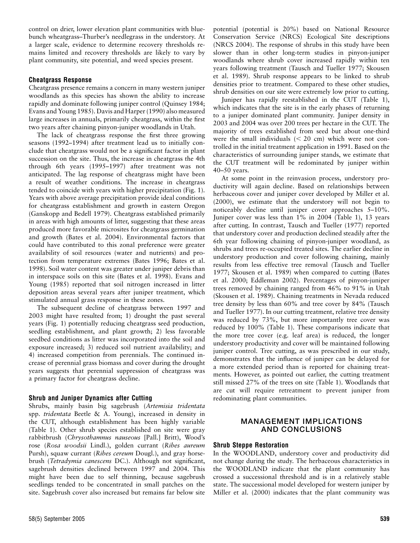control on drier, lower elevation plant communities with bluebunch wheatgrass–Thurber's needlegrass in the understory. At a larger scale, evidence to determine recovery thresholds remains limited and recovery thresholds are likely to vary by plant community, site potential, and weed species present.

## Cheatgrass Response

Cheatgrass presence remains a concern in many western juniper woodlands as this species has shown the ability to increase rapidly and dominate following juniper control (Quinsey 1984; Evans and Young 1985). Davis and Harper (1990) also measured large increases in annuals, primarily cheatgrass, within the first two years after chaining pinyon-juniper woodlands in Utah.

The lack of cheatgrass response the first three growing seasons (1992–1994) after treatment lead us to initially conclude that cheatgrass would not be a significant factor in plant succession on the site. Thus, the increase in cheatgrass the 4th through 6th years (1995–1997) after treatment was not anticipated. The lag response of cheatgrass might have been a result of weather conditions. The increase in cheatgrass tended to coincide with years with higher precipitation (Fig. 1). Years with above average precipitation provide ideal conditions for cheatgrass establishment and growth in eastern Oregon (Ganskopp and Bedell 1979). Cheatgrass established primarily in areas with high amounts of litter, suggesting that these areas produced more favorable microsites for cheatgrass germination and growth (Bates et al. 2004). Environmental factors that could have contributed to this zonal preference were greater availability of soil resources (water and nutrients) and protection from temperature extremes (Bates 1996; Bates et al. 1998). Soil water content was greater under juniper debris than in interspace soils on this site (Bates et al. 1998). Evans and Young (1985) reported that soil nitrogen increased in litter deposition areas several years after juniper treatment, which stimulated annual grass response in these zones.

The subsequent decline of cheatgrass between 1997 and 2003 might have resulted from; 1) drought the past several years (Fig. 1) potentially reducing cheatgrass seed production, seedling establishment, and plant growth; 2) less favorable seedbed conditions as litter was incorporated into the soil and exposure increased; 3) reduced soil nutrient availability; and 4) increased competition from perennials. The continued increase of perennial grass biomass and cover during the drought years suggests that perennial suppression of cheatgrass was a primary factor for cheatgrass decline.

## Shrub and Juniper Dynamics after Cutting

Shrubs, mainly basin big sagebrush (Artemisia tridentata spp. tridentata Beetle & A. Young), increased in density in the CUT, although establishment has been highly variable (Table 1). Other shrub species established on site were gray rabbitbrush (Chrysothamnus nauseous [Pall.] Britt), Wood's rose (Rosa woodsii Lindl.), golden currant (Ribes aureum Pursh), squaw currant (Ribes cereum Dougl.), and gray horsebrush (Tetradymia canescens DC.). Although not significant, sagebrush densities declined between 1997 and 2004. This might have been due to self thinning, because sagebrush seedlings tended to be concentrated in small patches on the site. Sagebrush cover also increased but remains far below site

Juniper has rapidly reestablished in the CUT (Table 1), which indicates that the site is in the early phases of returning to a juniper dominated plant community. Juniper density in 2003 and 2004 was over 200 trees per hectare in the CUT. The majority of trees established from seed but about one-third were the small individuals  $(< 20$  cm) which were not controlled in the initial treatment application in 1991. Based on the characteristics of surrounding juniper stands, we estimate that the CUT treatment will be redominated by juniper within 40–50 years.

At some point in the reinvasion process, understory productivity will again decline. Based on relationships between herbaceous cover and juniper cover developed by Miller et al. (2000), we estimate that the understory will not begin to noticeably decline until juniper cover approaches 5–10%. Juniper cover was less than 1% in 2004 (Table 1), 13 years after cutting. In contrast, Tausch and Tueller (1977) reported that understory cover and production declined steadily after the 6th year following chaining of pinyon-juniper woodland, as shrubs and trees re-occupied treated sites. The earlier decline in understory production and cover following chaining, mainly results from less effective tree removal (Tausch and Tueller 1977; Skousen et al. 1989) when compared to cutting (Bates et al. 2000; Eddleman 2002). Percentages of pinyon-juniper trees removed by chaining ranged from 46% to 91% in Utah (Skousen et al. 1989). Chaining treatments in Nevada reduced tree density by less than 60% and tree cover by 84% (Tausch and Tueller 1977). In our cutting treatment, relative tree density was reduced by 73%, but more importantly tree cover was reduced by 100% (Table 1). These comparisons indicate that the more tree cover (e.g. leaf area) is reduced, the longer understory productivity and cover will be maintained following juniper control. Tree cutting, as was prescribed in our study, demonstrates that the influence of juniper can be delayed for a more extended period than is reported for chaining treatments. However, as pointed out earlier, the cutting treatment still missed 27% of the trees on site (Table 1). Woodlands that are cut will require retreatment to prevent juniper from redominating plant communities.

# MANAGEMENT IMPLICATIONS AND CONCLUSIONS

## Shrub Steppe Restoration

In the WOODLAND, understory cover and productivity did not change during the study. The herbaceous characteristics in the WOODLAND indicate that the plant community has crossed a successional threshold and is in a relatively stable state. The successional model developed for western juniper by Miller et al. (2000) indicates that the plant community was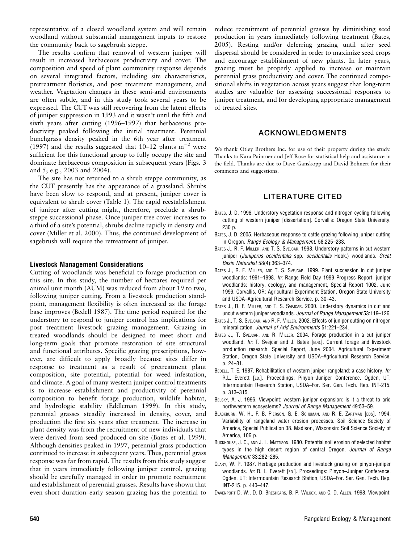representative of a closed woodland system and will remain woodland without substantial management inputs to restore the community back to sagebrush steppe.

The results confirm that removal of western juniper will result in increased herbaceous productivity and cover. The composition and speed of plant community response depends on several integrated factors, including site characteristics, pretreatment floristics, and post treatment management, and weather. Vegetation changes in these semi-arid environments are often subtle, and in this study took several years to be expressed. The CUT was still recovering from the latent effects of juniper suppression in 1993 and it wasn't until the fifth and sixth years after cutting (1996–1997) that herbaceous productivity peaked following the initial treatment. Perennial bunchgrass density peaked in the 6th year after treatment (1997) and the results suggested that  $10-12$  plants  $m^{-2}$  were sufficient for this functional group to fully occupy the site and dominate herbaceous composition in subsequent years (Figs. 3 and 5; e.g., 2003 and 2004).

The site has not returned to a shrub steppe community, as the CUT presently has the appearance of a grassland. Shrubs have been slow to respond, and at present, juniper cover is equivalent to shrub cover (Table 1). The rapid reestablishment of juniper after cutting might, therefore, preclude a shrubsteppe successional phase. Once juniper tree cover increases to a third of a site's potential, shrubs decline rapidly in density and cover (Miller et al. 2000). Thus, the continued development of sagebrush will require the retreatment of juniper.

## Livestock Management Considerations

Cutting of woodlands was beneficial to forage production on this site. In this study, the number of hectares required per animal unit month (AUM) was reduced from about 19 to two, following juniper cutting. From a livestock production standpoint, management flexibility is often increased as the forage base improves (Bedell 1987). The time period required for the understory to respond to juniper control has implications for post treatment livestock grazing management. Grazing in treated woodlands should be designed to meet short and long-term goals that promote restoration of site structural and functional attributes. Specific grazing prescriptions, however, are difficult to apply broadly because sites differ in response to treatment as a result of pretreatment plant composition, site potential, potential for weed infestation, and climate. A goal of many western juniper control treatments is to increase establishment and productivity of perennial composition to benefit forage production, wildlife habitat, and hydrologic stability (Eddleman 1999). In this study, perennial grasses steadily increased in density, cover, and production the first six years after treatment. The increase in plant density was from the recruitment of new individuals that were derived from seed produced on site (Bates et al. 1999). Although densities peaked in 1997, perennial grass production continued to increase in subsequent years. Thus, perennial grass response was far from rapid. The results from this study suggest that in years immediately following juniper control, grazing should be carefully managed in order to promote recruitment and establishment of perennial grasses. Results have shown that even short duration–early season grazing has the potential to reduce recruitment of perennial grasses by diminishing seed production in years immediately following treatment (Bates, 2005). Resting and/or deferring grazing until after seed dispersal should be considered in order to maximize seed crops and encourage establishment of new plants. In later years, grazing must be properly applied to increase or maintain perennial grass productivity and cover. The continued compositional shifts in vegetation across years suggest that long-term studies are valuable for assessing successional responses to juniper treatment, and for developing appropriate management of treated sites.

# ACKNOWLEDGMENTS

We thank Otley Brothers Inc. for use of their property during the study. Thanks to Kara Paintner and Jeff Rose for statistical help and assistance in the field. Thanks are due to Dave Ganskopp and David Bohnert for their comments and suggestions.

# LITERATURE CITED

- BATES, J. D. 1996. Understory vegetation response and nitrogen cycling following cutting of western juniper [dissertation]. Corvallis: Oregon State University. 230 p.
- BATES, J. D. 2005. Herbaceous response to cattle grazing following juniper cutting in Oregon. Range Ecology & Management. 58:225–233.
- BATES J., R. F. MILLER, AND T. S. SVEJCAR. 1998. Understory patterns in cut western juniper (Juniperus occidentalis spp. occidentalis Hook.) woodlands. Great Basin Naturalist 58(4):363–374.
- BATES J., R. F. MILLER, AND T. S. SVEJCAR. 1999. Plant succession in cut juniper woodlands: 1991–1998. In: Range Field Day 1999 Progress Report, juniper woodlands: history, ecology, and management, Special Report 1002, June 1999. Corvallis, OR: Agricultural Experiment Station, Oregon State University and USDA–Agricultural Research Service. p. 30–43.
- BATES J., R. F. MILLER, AND T. S. SVEJCAR. 2000. Understory dynamics in cut and uncut western juniper woodlands. Journal of Range Management 53:119–126.
- BATES J., T. S. SVEJCAR, AND R. F. MILLER. 2002. Effects of juniper cutting on nitrogen mineralization. Journal of Arid Environments 51:221–234.
- BATES J., T. SVEJCAR, AND R. MILLER. 2004. Forage production in a cut juniper woodland. In: T. Svejcar and J. Bates [EDS.]. Current forage and livestock production research, Special Report, June 2004. Agricultural Experiment Station, Oregon State University and USDA–Agricultural Research Service. p. 24–31.
- BEDELL, T. E. 1987. Rehabilitation of western juniper rangeland: a case history. In: R.L. Everett [ED.]. Proceedings: Pinyon-Juniper Conference. Ogden, UT: Intermountain Research Station, USDA–For. Ser. Gen. Tech. Rep. INT-215. p. 313–315.
- BELSKY, A. J. 1996. Viewpoint: western juniper expansion: is it a threat to arid northwestern ecosystems? Journal of Range Management 49:53–59.
- BLACKBURN, W. H., F. B. PIERSON, G. E. SCHUMAN, AND R. E. ZARTMAN [EDS]. 1994. Variability of rangeland water erosion processes. Soil Science Society of America, Special Publication 38. Madison, Wisconsin: Soil Science Society of America, 106 p.
- BUCKHOUSE, J. C., AND J. L. MATTISON. 1980. Potential soil erosion of selected habitat types in the high desert region of central Oregon. Journal of Range Management 33:282–285.
- CLARY, W. P. 1987. Herbage production and livestock grazing on pinyon-juniper woodlands. In: R. L. Everett [ED.]. Proceedings: Pinyon-Juniper Conference. Ogden, UT: Intermountain Research Station, USDA–For. Ser. Gen. Tech. Rep. INT-215. p. 440–447.
- DAVENPORT D. W., D. D. BRESHEARS, B. P. WILCOX, AND C. D. ALLEN. 1998. Viewpoint: